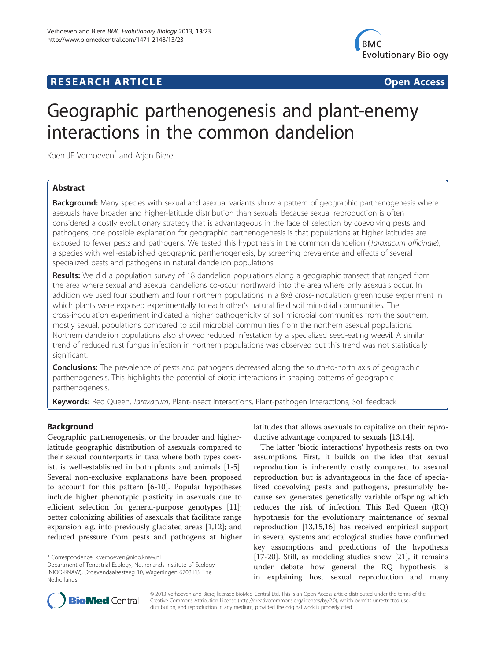## **RESEARCH ARTICLE Example 2008 CONSIDERING A RESEARCH ARTICLE**



# Geographic parthenogenesis and plant-enemy interactions in the common dandelion

Koen JF Verhoeven<sup>\*</sup> and Arjen Biere

## Abstract

Background: Many species with sexual and asexual variants show a pattern of geographic parthenogenesis where asexuals have broader and higher-latitude distribution than sexuals. Because sexual reproduction is often considered a costly evolutionary strategy that is advantageous in the face of selection by coevolving pests and pathogens, one possible explanation for geographic parthenogenesis is that populations at higher latitudes are exposed to fewer pests and pathogens. We tested this hypothesis in the common dandelion (Taraxacum officinale), a species with well-established geographic parthenogenesis, by screening prevalence and effects of several specialized pests and pathogens in natural dandelion populations.

Results: We did a population survey of 18 dandelion populations along a geographic transect that ranged from the area where sexual and asexual dandelions co-occur northward into the area where only asexuals occur. In addition we used four southern and four northern populations in a 8x8 cross-inoculation greenhouse experiment in which plants were exposed experimentally to each other's natural field soil microbial communities. The cross-inoculation experiment indicated a higher pathogenicity of soil microbial communities from the southern, mostly sexual, populations compared to soil microbial communities from the northern asexual populations. Northern dandelion populations also showed reduced infestation by a specialized seed-eating weevil. A similar trend of reduced rust fungus infection in northern populations was observed but this trend was not statistically significant.

**Conclusions:** The prevalence of pests and pathogens decreased along the south-to-north axis of geographic parthenogenesis. This highlights the potential of biotic interactions in shaping patterns of geographic parthenogenesis.

Keywords: Red Queen, Taraxacum, Plant-insect interactions, Plant-pathogen interactions, Soil feedback

## Background

Geographic parthenogenesis, or the broader and higherlatitude geographic distribution of asexuals compared to their sexual counterparts in taxa where both types coexist, is well-established in both plants and animals [[1-5](#page-6-0)]. Several non-exclusive explanations have been proposed to account for this pattern [[6](#page-6-0)-[10\]](#page-6-0). Popular hypotheses include higher phenotypic plasticity in asexuals due to efficient selection for general-purpose genotypes [\[11](#page-6-0)]; better colonizing abilities of asexuals that facilitate range expansion e.g. into previously glaciated areas [[1,12\]](#page-6-0); and reduced pressure from pests and pathogens at higher

latitudes that allows asexuals to capitalize on their reproductive advantage compared to sexuals [[13,14\]](#page-6-0).

The latter 'biotic interactions' hypothesis rests on two assumptions. First, it builds on the idea that sexual reproduction is inherently costly compared to asexual reproduction but is advantageous in the face of specialized coevolving pests and pathogens, presumably because sex generates genetically variable offspring which reduces the risk of infection. This Red Queen (RQ) hypothesis for the evolutionary maintenance of sexual reproduction [[13,15,16\]](#page-6-0) has received empirical support in several systems and ecological studies have confirmed key assumptions and predictions of the hypothesis [[17-20](#page-6-0)]. Still, as modeling studies show [\[21](#page-6-0)], it remains under debate how general the RQ hypothesis is in explaining host sexual reproduction and many



© 2013 Verhoeven and Biere; licensee BioMed Central Ltd. This is an Open Access article distributed under the terms of the Creative Commons Attribution License (<http://creativecommons.org/licenses/by/2.0>), which permits unrestricted use, distribution, and reproduction in any medium, provided the original work is properly cited.

<sup>\*</sup> Correspondence: [k.verhoeven@nioo.knaw.nl](mailto:k.verhoeven@nioo.knaw.nl)

Department of Terrestrial Ecology, Netherlands Institute of Ecology (NIOO-KNAW), Droevendaalsesteeg 10, Wageningen 6708 PB, The Netherlands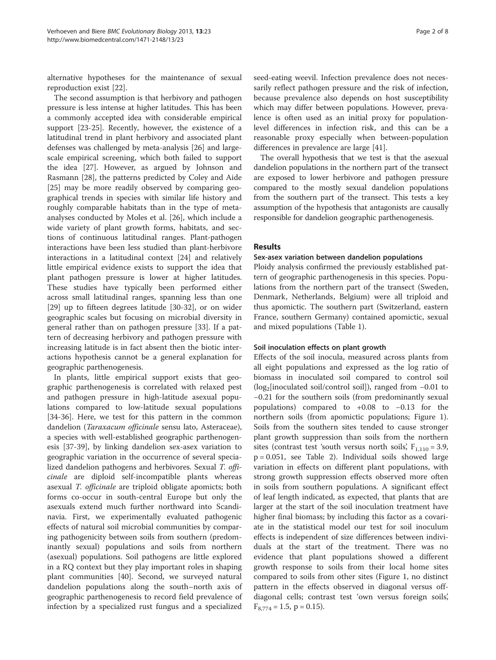alternative hypotheses for the maintenance of sexual reproduction exist [[22\]](#page-6-0).

The second assumption is that herbivory and pathogen pressure is less intense at higher latitudes. This has been a commonly accepted idea with considerable empirical support [\[23](#page-7-0)-[25\]](#page-7-0). Recently, however, the existence of a latitudinal trend in plant herbivory and associated plant defenses was challenged by meta-analysis [[26\]](#page-7-0) and largescale empirical screening, which both failed to support the idea [[27\]](#page-7-0). However, as argued by Johnson and Rasmann [\[28\]](#page-7-0), the patterns predicted by Coley and Aide [[25\]](#page-7-0) may be more readily observed by comparing geographical trends in species with similar life history and roughly comparable habitats than in the type of metaanalyses conducted by Moles et al. [[26\]](#page-7-0), which include a wide variety of plant growth forms, habitats, and sections of continuous latitudinal ranges. Plant-pathogen interactions have been less studied than plant-herbivore interactions in a latitudinal context [\[24](#page-7-0)] and relatively little empirical evidence exists to support the idea that plant pathogen pressure is lower at higher latitudes. These studies have typically been performed either across small latitudinal ranges, spanning less than one [[29\]](#page-7-0) up to fifteen degrees latitude [\[30](#page-7-0)-[32](#page-7-0)], or on wider geographic scales but focusing on microbial diversity in general rather than on pathogen pressure [\[33](#page-7-0)]. If a pattern of decreasing herbivory and pathogen pressure with increasing latitude is in fact absent then the biotic interactions hypothesis cannot be a general explanation for geographic parthenogenesis.

In plants, little empirical support exists that geographic parthenogenesis is correlated with relaxed pest and pathogen pressure in high-latitude asexual populations compared to low-latitude sexual populations [[34-36](#page-7-0)]. Here, we test for this pattern in the common dandelion (Taraxacum officinale sensu lato, Asteraceae), a species with well-established geographic parthenogenesis [[37-39](#page-7-0)], by linking dandelion sex-asex variation to geographic variation in the occurrence of several specialized dandelion pathogens and herbivores. Sexual T. officinale are diploid self-incompatible plants whereas asexual T. officinale are triploid obligate apomicts; both forms co-occur in south-central Europe but only the asexuals extend much further northward into Scandinavia. First, we experimentally evaluated pathogenic effects of natural soil microbial communities by comparing pathogenicity between soils from southern (predominantly sexual) populations and soils from northern (asexual) populations. Soil pathogens are little explored in a RQ context but they play important roles in shaping plant communities [[40\]](#page-7-0). Second, we surveyed natural dandelion populations along the south–north axis of geographic parthenogenesis to record field prevalence of infection by a specialized rust fungus and a specialized

seed-eating weevil. Infection prevalence does not necessarily reflect pathogen pressure and the risk of infection, because prevalence also depends on host susceptibility which may differ between populations. However, prevalence is often used as an initial proxy for populationlevel differences in infection risk, and this can be a reasonable proxy especially when between-population differences in prevalence are large [\[41](#page-7-0)].

The overall hypothesis that we test is that the asexual dandelion populations in the northern part of the transect are exposed to lower herbivore and pathogen pressure compared to the mostly sexual dandelion populations from the southern part of the transect. This tests a key assumption of the hypothesis that antagonists are causally responsible for dandelion geographic parthenogenesis.

## Results

#### Sex-asex variation between dandelion populations

Ploidy analysis confirmed the previously established pattern of geographic parthenogenesis in this species. Populations from the northern part of the transect (Sweden, Denmark, Netherlands, Belgium) were all triploid and thus apomictic. The southern part (Switzerland, eastern France, southern Germany) contained apomictic, sexual and mixed populations (Table [1\)](#page-2-0).

#### Soil inoculation effects on plant growth

Effects of the soil inocula, measured across plants from all eight populations and expressed as the log ratio of biomass in inoculated soil compared to control soil (log<sub>2</sub>[inoculated soil/control soil]), ranged from -0.01 to −0.21 for the southern soils (from predominantly sexual populations) compared to +0.08 to −0.13 for the northern soils (from apomictic populations; Figure [1](#page-2-0)). Soils from the southern sites tended to cause stronger plant growth suppression than soils from the northern sites (contrast test 'south versus north soils',  $F_{1,110} = 3.9$ , p = 0.051, see Table [2](#page-2-0)). Individual soils showed large variation in effects on different plant populations, with strong growth suppression effects observed more often in soils from southern populations. A significant effect of leaf length indicated, as expected, that plants that are larger at the start of the soil inoculation treatment have higher final biomass; by including this factor as a covariate in the statistical model our test for soil inoculum effects is independent of size differences between individuals at the start of the treatment. There was no evidence that plant populations showed a different growth response to soils from their local home sites compared to soils from other sites (Figure [1,](#page-2-0) no distinct pattern in the effects observed in diagonal versus offdiagonal cells; contrast test 'own versus foreign soils',  $F_{8,774} = 1.5$ , p = 0.15).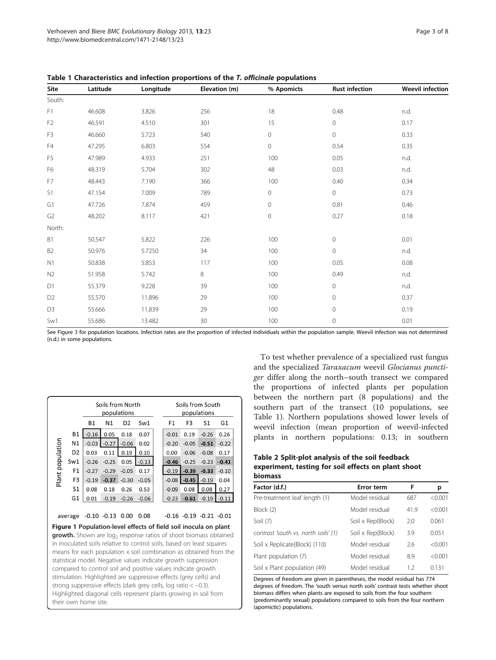| Site           | Latitude | Longitude | Elevation (m) | % Apomicts   | <b>Rust infection</b> | <b>Weevil infection</b> |
|----------------|----------|-----------|---------------|--------------|-----------------------|-------------------------|
| South:         |          |           |               |              |                       |                         |
| F1             | 46.608   | 3.826     | 256           | 18           | 0.48                  | n.d.                    |
| F <sub>2</sub> | 46.591   | 4.510     | 301           | 15           | $\mathsf{O}\xspace$   | 0.17                    |
| F3             | 46.660   | 5.723     | 540           | $\mathbf 0$  | $\mathsf{O}\xspace$   | 0.33                    |
| ${\sf F4}$     | 47.295   | 6.803     | 554           | $\mathbf 0$  | 0.54                  | 0.35                    |
| F <sub>5</sub> | 47.989   | 4.933     | 251           | 100          | 0.05                  | n.d.                    |
| F <sub>6</sub> | 48.319   | 5.704     | 302           | 48           | 0.03                  | n.d.                    |
| F7             | 48.443   | 7.190     | 366           | 100          | 0.40                  | 0.34                    |
| S1             | 47.154   | 7.009     | 789           | $\mathbf{0}$ | $\circ$               | 0.73                    |
| ${\mathsf G}1$ | 47.726   | 7.874     | 459           | $\mathbf 0$  | 0.81                  | 0.46                    |
| G <sub>2</sub> | 48.202   | 8.117     | 421           | $\circ$      | 0.27                  | 0.18                    |
| North:         |          |           |               |              |                       |                         |
| B1             | 50.547   | 5.822     | 226           | 100          | $\circ$               | 0.01                    |
| B <sub>2</sub> | 50.976   | 5.7250    | 34            | 100          | $\circ$               | n.d.                    |
| $\mathsf{N}1$  | 50.838   | 5.853     | 117           | 100          | 0.05                  | 0.08                    |
| N <sub>2</sub> | 51.958   | 5.742     | 8             | 100          | 0.49                  | n.d.                    |
| D1             | 55.379   | 9.228     | 39            | 100          | 0                     | n.d.                    |
| D <sub>2</sub> | 55.570   | 11.896    | 29            | 100          | $\mathbf 0$           | 0.37                    |
| D <sub>3</sub> | 55.666   | 11.839    | 29            | 100          | $\mathbf 0$           | 0.19                    |
| Sw1            | 55.686   | 13.482    | 30            | 100          | $\mathbf 0$           | 0.01                    |

<span id="page-2-0"></span>Table 1 Characteristics and infection proportions of the T. officinale populations

See Figure [3](#page-5-0) for population locations. Infection rates are the proportion of infected individuals within the population sample. Weevil infection was not determined (n.d.) in some populations.

|                  |                | Soils from North<br>populations |                |                | Soils from South<br>populations |                |                |                |         |
|------------------|----------------|---------------------------------|----------------|----------------|---------------------------------|----------------|----------------|----------------|---------|
|                  |                | <b>B1</b>                       | N <sub>1</sub> | D <sub>2</sub> | Sw1                             | F <sub>1</sub> | F <sub>3</sub> | S <sub>1</sub> | G1      |
| Plant population | <b>B1</b>      | $-0.16$                         | 0.05           | 0.18           | 0.07                            | $-0.01$        | 0.19           | $-0.26$        | 0.26    |
|                  | N <sub>1</sub> | $-0.03$                         | $-0.27$        | $-0.06$        | 0.02                            | $-0.20$        | $-0.05$        | $-0.51$        | $-0.22$ |
|                  | D <sub>2</sub> | 0.03                            | 0.11           | 0.19           | 0.10                            | 0.00           | $-0.06$        | $-0.08$        | 0.17    |
|                  | Sw1            | $-0.26$                         | $-0.25$        | 0.05           | $-0.13$                         | $-0.46$        | $-0.25$        | $-0.23$        | $-0.41$ |
|                  | F <sub>1</sub> | $-0.27$                         | $-0.29$        | $-0.05$        | 0.17                            | $-0.19$        | $-0.39$        | $-0.33$        | $-0.10$ |
|                  | F <sub>3</sub> | $-0.19$                         | $-0.37$        | $-0.30$        | $-0.05$                         | $-0.08$        | $-0.45$        | $-0.19$        | 0.04    |
|                  | S1             | 0.08                            | 0.18           | 0.26           | 0.53                            | $-0.09$        | 0.08           | 0.08           | 0.27    |
|                  | G <sub>1</sub> | 0.01                            | $-0.19$        | $-0.26$        | $-0.06$                         | $-0.23$        | $-0.61$        | $-0.19$        | $-0.11$ |
|                  |                |                                 |                |                |                                 |                |                |                |         |

average -0.10 -0.13 0.00 0.08

 $-0.16 -0.19 -0.21 -0.01$ 

Figure 1 Population-level effects of field soil inocula on plant **growth.** Shown are  $log_2$  response ratios of shoot biomass obtained in inoculated soils relative to control soils, based on least squares means for each population x soil combination as obtained from the statistical model. Negative values indicate growth suppression compared to control soil and positive values indicate growth stimulation. Highlighted are suppressive effects (grey cells) and strong suppressive effects (dark grey cells, log ratio < −0.3). Highlighted diagonal cells represent plants growing in soil from their own home site.

To test whether prevalence of a specialized rust fungus and the specialized Taraxacum weevil Glocianus punctiger differ along the north–south transect we compared the proportions of infected plants per population between the northern part (8 populations) and the southern part of the transect (10 populations, see Table 1). Northern populations showed lower levels of weevil infection (mean proportion of weevil-infected plants in northern populations: 0.13; in southern

Table 2 Split-plot analysis of the soil feedback experiment, testing for soil effects on plant shoot biomass

| Factor (d.f.)                        | <b>Error term</b> | F    | р       |
|--------------------------------------|-------------------|------|---------|
| Pre-treatment leaf length (1)        | Model residual    | 687  | < 0.001 |
| Block (2)                            | Model residual    | 41.9 | < 0.001 |
| Soil (7)                             | Soil x Rep(Block) | 2.0  | 0.061   |
| contrast 'south vs. north soils' (1) | Soil x Rep(Block) | 3.9  | 0.051   |
| Soil x Replicate(Block) (110)        | Model residual    | 2.6  | < 0.001 |
| Plant population (7)                 | Model residual    | 8.9  | < 0.001 |
| Soil x Plant population (49)         | Model residual    | 1.2  | 0.131   |

Degrees of freedom are given in parentheses, the model residual has 774 degrees of freedom. The 'south versus north soils' contrast tests whether shoot biomass differs when plants are exposed to soils from the four southern (predominantly sexual) populations compared to soils from the four northern (apomictic) populations.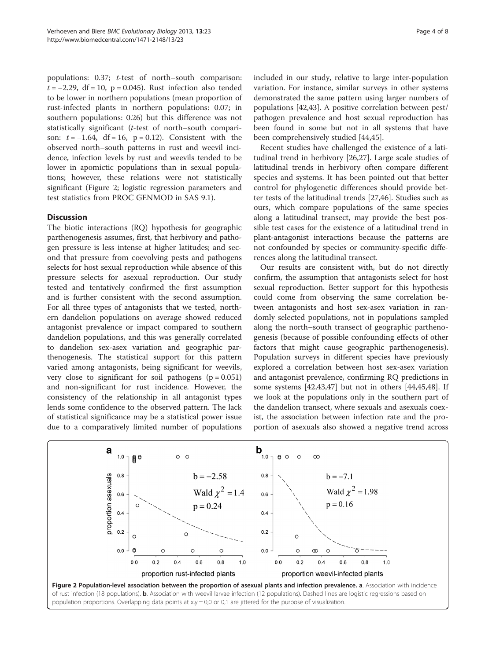populations: 0.37; t-test of north–south comparison:  $t = -2.29$ , df = 10, p = 0.045). Rust infection also tended to be lower in northern populations (mean proportion of rust-infected plants in northern populations: 0.07; in southern populations: 0.26) but this difference was not statistically significant (t-test of north–south comparison:  $t = -1.64$ , df = 16, p = 0.12). Consistent with the observed north–south patterns in rust and weevil incidence, infection levels by rust and weevils tended to be lower in apomictic populations than in sexual populations; however, these relations were not statistically significant (Figure 2; logistic regression parameters and test statistics from PROC GENMOD in SAS 9.1).

#### **Discussion**

The biotic interactions (RQ) hypothesis for geographic parthenogenesis assumes, first, that herbivory and pathogen pressure is less intense at higher latitudes; and second that pressure from coevolving pests and pathogens selects for host sexual reproduction while absence of this pressure selects for asexual reproduction. Our study tested and tentatively confirmed the first assumption and is further consistent with the second assumption. For all three types of antagonists that we tested, northern dandelion populations on average showed reduced antagonist prevalence or impact compared to southern dandelion populations, and this was generally correlated to dandelion sex-asex variation and geographic parthenogenesis. The statistical support for this pattern varied among antagonists, being significant for weevils, very close to significant for soil pathogens  $(p = 0.051)$ and non-significant for rust incidence. However, the consistency of the relationship in all antagonist types lends some confidence to the observed pattern. The lack of statistical significance may be a statistical power issue due to a comparatively limited number of populations included in our study, relative to large inter-population variation. For instance, similar surveys in other systems demonstrated the same pattern using larger numbers of populations [[42,43\]](#page-7-0). A positive correlation between pest/ pathogen prevalence and host sexual reproduction has been found in some but not in all systems that have been comprehensively studied [[44,45\]](#page-7-0).

Recent studies have challenged the existence of a latitudinal trend in herbivory [[26,27\]](#page-7-0). Large scale studies of latitudinal trends in herbivory often compare different species and systems. It has been pointed out that better control for phylogenetic differences should provide better tests of the latitudinal trends [\[27,46\]](#page-7-0). Studies such as ours, which compare populations of the same species along a latitudinal transect, may provide the best possible test cases for the existence of a latitudinal trend in plant-antagonist interactions because the patterns are not confounded by species or community-specific differences along the latitudinal transect.

Our results are consistent with, but do not directly confirm, the assumption that antagonists select for host sexual reproduction. Better support for this hypothesis could come from observing the same correlation between antagonists and host sex-asex variation in randomly selected populations, not in populations sampled along the north–south transect of geographic parthenogenesis (because of possible confounding effects of other factors that might cause geographic parthenogenesis). Population surveys in different species have previously explored a correlation between host sex-asex variation and antagonist prevalence, confirming RQ predictions in some systems [[42,43,47\]](#page-7-0) but not in others [\[44,45,48](#page-7-0)]. If we look at the populations only in the southern part of the dandelion transect, where sexuals and asexuals coexist, the association between infection rate and the proportion of asexuals also showed a negative trend across

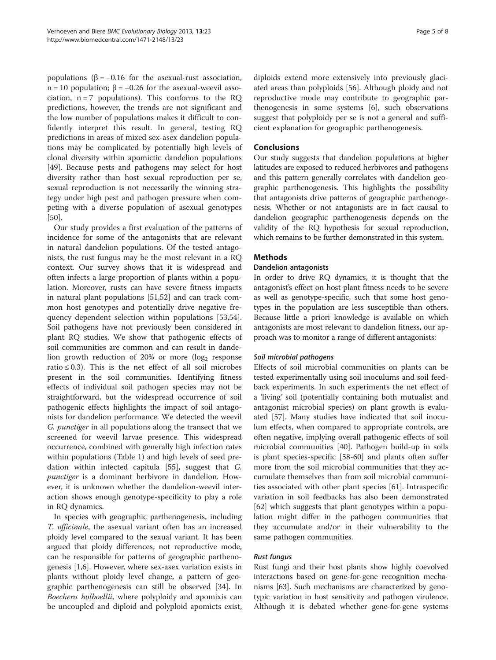populations ( $β = -0.16$  for the asexual-rust association, n = 10 population;  $\beta$  = -0.26 for the asexual-weevil association,  $n = 7$  populations). This conforms to the RQ predictions, however, the trends are not significant and the low number of populations makes it difficult to confidently interpret this result. In general, testing RQ predictions in areas of mixed sex-asex dandelion populations may be complicated by potentially high levels of clonal diversity within apomictic dandelion populations [[49\]](#page-7-0). Because pests and pathogens may select for host diversity rather than host sexual reproduction per se, sexual reproduction is not necessarily the winning strategy under high pest and pathogen pressure when competing with a diverse population of asexual genotypes [[50\]](#page-7-0).

Our study provides a first evaluation of the patterns of incidence for some of the antagonists that are relevant in natural dandelion populations. Of the tested antagonists, the rust fungus may be the most relevant in a RQ context. Our survey shows that it is widespread and often infects a large proportion of plants within a population. Moreover, rusts can have severe fitness impacts in natural plant populations [[51,52\]](#page-7-0) and can track common host genotypes and potentially drive negative frequency dependent selection within populations [\[53,54](#page-7-0)]. Soil pathogens have not previously been considered in plant RQ studies. We show that pathogenic effects of soil communities are common and can result in dandelion growth reduction of 20% or more  $(\log_2$  response ratio  $\leq$  0.3). This is the net effect of all soil microbes present in the soil communities. Identifying fitness effects of individual soil pathogen species may not be straightforward, but the widespread occurrence of soil pathogenic effects highlights the impact of soil antagonists for dandelion performance. We detected the weevil G. punctiger in all populations along the transect that we screened for weevil larvae presence. This widespread occurrence, combined with generally high infection rates within populations (Table [1](#page-2-0)) and high levels of seed predation within infected capitula [\[55](#page-7-0)], suggest that G. punctiger is a dominant herbivore in dandelion. However, it is unknown whether the dandelion-weevil interaction shows enough genotype-specificity to play a role in RQ dynamics.

In species with geographic parthenogenesis, including T. officinale, the asexual variant often has an increased ploidy level compared to the sexual variant. It has been argued that ploidy differences, not reproductive mode, can be responsible for patterns of geographic parthenogenesis [[1,6\]](#page-6-0). However, where sex-asex variation exists in plants without ploidy level change, a pattern of geographic parthenogenesis can still be observed [[34](#page-7-0)]. In Boechera holboellii, where polyploidy and apomixis can be uncoupled and diploid and polyploid apomicts exist, diploids extend more extensively into previously glaciated areas than polyploids [[56](#page-7-0)]. Although ploidy and not reproductive mode may contribute to geographic parthenogenesis in some systems [[6\]](#page-6-0), such observations suggest that polyploidy per se is not a general and sufficient explanation for geographic parthenogenesis.

## Conclusions

Our study suggests that dandelion populations at higher latitudes are exposed to reduced herbivores and pathogens and this pattern generally correlates with dandelion geographic parthenogenesis. This highlights the possibility that antagonists drive patterns of geographic parthenogenesis. Whether or not antagonists are in fact causal to dandelion geographic parthenogenesis depends on the validity of the RQ hypothesis for sexual reproduction, which remains to be further demonstrated in this system.

## **Methods**

#### Dandelion antagonists

In order to drive RQ dynamics, it is thought that the antagonist's effect on host plant fitness needs to be severe as well as genotype-specific, such that some host genotypes in the population are less susceptible than others. Because little a priori knowledge is available on which antagonists are most relevant to dandelion fitness, our approach was to monitor a range of different antagonists:

## Soil microbial pathogens

Effects of soil microbial communities on plants can be tested experimentally using soil inoculums and soil feedback experiments. In such experiments the net effect of a 'living' soil (potentially containing both mutualist and antagonist microbial species) on plant growth is evaluated [\[57](#page-7-0)]. Many studies have indicated that soil inoculum effects, when compared to appropriate controls, are often negative, implying overall pathogenic effects of soil microbial communities [[40\]](#page-7-0). Pathogen build-up in soils is plant species-specific [[58-60](#page-7-0)] and plants often suffer more from the soil microbial communities that they accumulate themselves than from soil microbial communities associated with other plant species [\[61\]](#page-7-0). Intraspecific variation in soil feedbacks has also been demonstrated [[62\]](#page-7-0) which suggests that plant genotypes within a population might differ in the pathogen communities that they accumulate and/or in their vulnerability to the same pathogen communities.

## Rust fungus

Rust fungi and their host plants show highly coevolved interactions based on gene-for-gene recognition mechanisms [[63](#page-7-0)]. Such mechanisms are characterized by genotypic variation in host sensitivity and pathogen virulence. Although it is debated whether gene-for-gene systems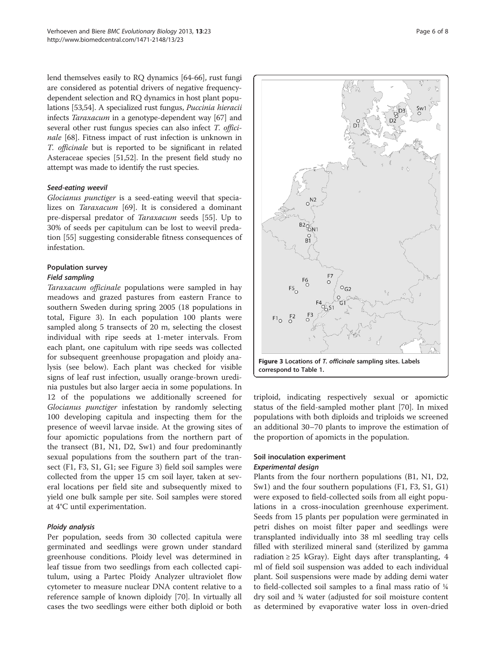<span id="page-5-0"></span>lend themselves easily to RQ dynamics [\[64-66](#page-7-0)], rust fungi are considered as potential drivers of negative frequencydependent selection and RQ dynamics in host plant populations [[53,54](#page-7-0)]. A specialized rust fungus, Puccinia hieracii infects Taraxacum in a genotype-dependent way [[67](#page-7-0)] and several other rust fungus species can also infect T. offici-nale [[68](#page-7-0)]. Fitness impact of rust infection is unknown in T. officinale but is reported to be significant in related Asteraceae species [\[51,52\]](#page-7-0). In the present field study no attempt was made to identify the rust species.

#### Seed-eating weevil

Glocianus punctiger is a seed-eating weevil that specializes on Taraxacum [[69\]](#page-7-0). It is considered a dominant pre-dispersal predator of Taraxacum seeds [[55\]](#page-7-0). Up to 30% of seeds per capitulum can be lost to weevil predation [\[55\]](#page-7-0) suggesting considerable fitness consequences of infestation.

## Population survey

#### Field sampling

Taraxacum officinale populations were sampled in hay meadows and grazed pastures from eastern France to southern Sweden during spring 2005 (18 populations in total, Figure 3). In each population 100 plants were sampled along 5 transects of 20 m, selecting the closest individual with ripe seeds at 1-meter intervals. From each plant, one capitulum with ripe seeds was collected for subsequent greenhouse propagation and ploidy analysis (see below). Each plant was checked for visible signs of leaf rust infection, usually orange-brown uredinia pustules but also larger aecia in some populations. In 12 of the populations we additionally screened for Glocianus punctiger infestation by randomly selecting 100 developing capitula and inspecting them for the presence of weevil larvae inside. At the growing sites of four apomictic populations from the northern part of the transect (B1, N1, D2, Sw1) and four predominantly sexual populations from the southern part of the transect (F1, F3, S1, G1; see Figure 3) field soil samples were collected from the upper 15 cm soil layer, taken at several locations per field site and subsequently mixed to yield one bulk sample per site. Soil samples were stored at 4°C until experimentation.

#### Ploidy analysis

Per population, seeds from 30 collected capitula were germinated and seedlings were grown under standard greenhouse conditions. Ploidy level was determined in leaf tissue from two seedlings from each collected capitulum, using a Partec Ploidy Analyzer ultraviolet flow cytometer to measure nuclear DNA content relative to a reference sample of known diploidy [[70\]](#page-7-0). In virtually all cases the two seedlings were either both diploid or both



triploid, indicating respectively sexual or apomictic status of the field-sampled mother plant [[70](#page-7-0)]. In mixed populations with both diploids and triploids we screened an additional 30–70 plants to improve the estimation of the proportion of apomicts in the population.

## Soil inoculation experiment

#### Experimental design

Plants from the four northern populations (B1, N1, D2, Sw1) and the four southern populations (F1, F3, S1, G1) were exposed to field-collected soils from all eight populations in a cross-inoculation greenhouse experiment. Seeds from 15 plants per population were germinated in petri dishes on moist filter paper and seedlings were transplanted individually into 38 ml seedling tray cells filled with sterilized mineral sand (sterilized by gamma radiation  $\geq 25$  kGray). Eight days after transplanting, 4 ml of field soil suspension was added to each individual plant. Soil suspensions were made by adding demi water to field-collected soil samples to a final mass ratio of ¼ dry soil and ¾ water (adjusted for soil moisture content as determined by evaporative water loss in oven-dried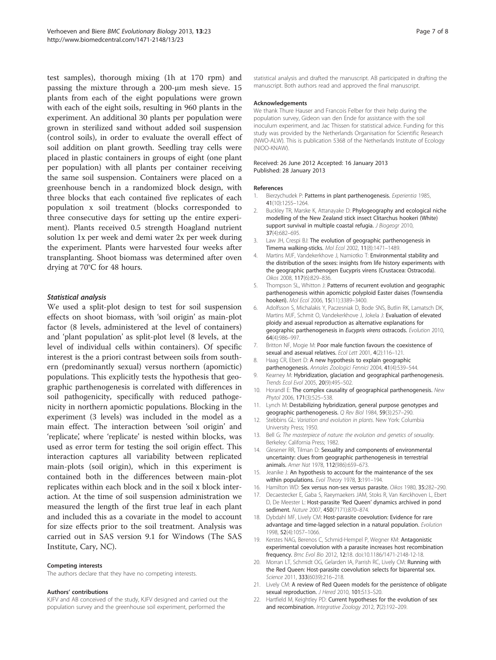<span id="page-6-0"></span>test samples), thorough mixing (1h at 170 rpm) and passing the mixture through a 200-μm mesh sieve. 15 plants from each of the eight populations were grown with each of the eight soils, resulting in 960 plants in the experiment. An additional 30 plants per population were grown in sterilized sand without added soil suspension (control soils), in order to evaluate the overall effect of soil addition on plant growth. Seedling tray cells were placed in plastic containers in groups of eight (one plant per population) with all plants per container receiving the same soil suspension. Containers were placed on a greenhouse bench in a randomized block design, with three blocks that each contained five replicates of each population x soil treatment (blocks corresponded to three consecutive days for setting up the entire experiment). Plants received 0.5 strength Hoagland nutrient solution 1x per week and demi water 2x per week during the experiment. Plants were harvested four weeks after transplanting. Shoot biomass was determined after oven drying at 70°C for 48 hours.

#### Statistical analysis

We used a split-plot design to test for soil suspension effects on shoot biomass, with 'soil origin' as main-plot factor (8 levels, administered at the level of containers) and 'plant population' as split-plot level (8 levels, at the level of individual cells within containers). Of specific interest is the a priori contrast between soils from southern (predominantly sexual) versus northern (apomictic) populations. This explicitly tests the hypothesis that geographic parthenogenesis is correlated with differences in soil pathogenicity, specifically with reduced pathogenicity in northern apomictic populations. Blocking in the experiment (3 levels) was included in the model as a main effect. The interaction between 'soil origin' and 'replicate', where 'replicate' is nested within blocks, was used as error term for testing the soil origin effect. This interaction captures all variability between replicated main-plots (soil origin), which in this experiment is contained both in the differences between main-plot replicates within each block and in the soil x block interaction. At the time of soil suspension administration we measured the length of the first true leaf in each plant and included this as a covariate in the model to account for size effects prior to the soil treatment. Analysis was carried out in SAS version 9.1 for Windows (The SAS Institute, Cary, NC).

#### Competing interests

The authors declare that they have no competing interests.

#### Authors' contributions

KJFV and AB conceived of the study, KJFV designed and carried out the population survey and the greenhouse soil experiment, performed the

statistical analysis and drafted the manuscript. AB participated in drafting the manuscript. Both authors read and approved the final manuscript.

#### Acknowledgements

We thank Thure Hauser and Francois Felber for their help during the population survey, Gideon van den Ende for assistance with the soil inoculum experiment, and Jac Thissen for statistical advice. Funding for this study was provided by the Netherlands Organisation for Scientific Research (NWO-ALW). This is publication 5368 of the Netherlands Institute of Ecology (NIOO-KNAW).

#### Received: 26 June 2012 Accepted: 16 January 2013 Published: 28 January 2013

#### References

- 1. Bierzychudek P: Patterns in plant parthenogenesis. Experientia 1985, 41(10):1255–1264.
- 2. Buckley TR, Marske K, Attanayake D: Phylogeography and ecological niche modelling of the New Zealand stick insect Clitarchus hookeri (White) support survival in multiple coastal refugia. J Biogeogr 2010, 37(4):682–695.
- 3. Law JH, Crespi BJ: The evolution of geographic parthenogenesis in Timema walking-sticks. Mol Ecol 2002, 11(8):1471–1489.
- 4. Martins MJF, Vandekerkhove J, Namiotko T: Environmental stability and the distribution of the sexes: insights from life history experiments with the geographic parthenogen Eucypris virens (Crustacea: Ostracoda). Oikos 2008, 117(6):829–836.
- 5. Thompson SL, Whitton J: Patterns of recurrent evolution and geographic parthenogenesis within apomictic polyploid Easter daises (Townsendia hookeri). Mol Ecol 2006, 15(11):3389–3400.
- 6. Adolfsson S, Michalakis Y, Paczesniak D, Bode SNS, Butlin RK, Lamatsch DK, Martins MJF, Schmit O, Vandekerkhove J, Jokela J: Evaluation of elevated ploidy and asexual reproduction as alternative explanations for geographic parthenogenesis in Eucypris virens ostracods. Evolution 2010, 64(4):986–997.
- 7. Britton NF, Mogie M: Poor male function favours the coexistence of sexual and asexual relatives. Fcol Lett 2001, 4(2):116-121.
- 8. Haag CR, Ebert D: A new hypothesis to explain geographic parthenogenesis. Annales Zoologici Fennici 2004, 41(4):539–544.
- 9. Kearney M: Hybridization, glaciation and geographical parthenogenesis. Trends Ecol Evol 2005, 20(9):495–502.
- 10. Horandl E: The complex causality of geographical parthenogenesis. New Phytol 2006, 171(3):525–538.
- 11. Lynch M: Destabilizing hybridization, general purpose genotypes and geographic parthenogenesis. Q Rev Biol 1984, 59(3):257–290.
- 12. Stebbins GL: Variation and evolution in plants. New York: Columbia University Press; 1950.
- 13. Bell G: The masterpiece of nature: the evolution and genetics of sexuality. Berkeley: California Press; 1982.
- 14. Glesener RR, Tilman D: Sexuality and components of environmental uncertainty: clues from geographic parthenogenesis in terrestrial animals. Amer Nat 1978, 112(986):659–673.
- 15. Jeanike J: An hypothesis to account for the maintenance of the sex within populations. Evol Theory 1978, 3:191–194.
- 16. Hamilton WD: Sex versus non-sex versus parasite. Oikos 1980, 35:282–290.
- 17. Decaestecker E, Gaba S, Raeymaekers JAM, Stoks R, Van Kerckhoven L, Ebert D, De Meester L: Host-parasite 'Red Queen' dynamics archived in pond sediment. Nature 2007, 450(7171):870–874.
- 18. Dybdahl MF, Lively CM: Host-parasite coevolution: Evidence for rare advantage and time-lagged selection in a natural population. Evolution 1998, 52(4):1057–1066.
- 19. Kerstes NAG, Berenos C, Schmid-Hempel P, Wegner KM: Antagonistic experimental coevolution with a parasite increases host recombination frequency. Bmc Evol Bio 2012, 12:18. doi:[10.1186/1471-2148-12-18](http://dx.doi.org/10.1186/1471-2148-12-18).
- 20. Morran LT, Schmidt OG, Gelarden IA, Parrish RC, Lively CM: Running with the Red Queen: Host-parasite coevolution selects for biparental sex. Science 2011, 333(6039):216–218.
- 21. Lively CM: A review of Red Queen models for the persistence of obligate sexual reproduction. J Hered 2010, 101:S13-S20.
- 22. Hartfield M, Keightley PD: Current hypotheses for the evolution of sex and recombination. Integrative Zoology 2012, 7(2):192–209.